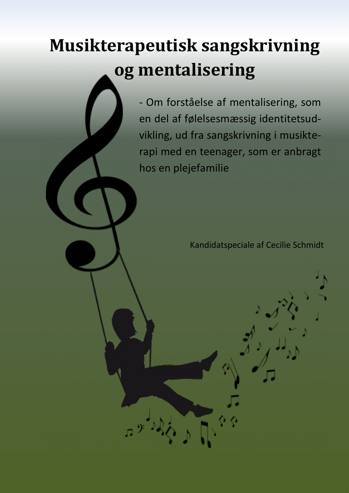## **Musikterapeutisk sangskrivning og mentalisering**

- Om forståelse af mentalisering, som en del af følelsesmæssig identitetsudvikling, ud fra sangskrivning i musikterapi med en teenager, som er anbragt hos en plejefamilie

Kandidatspeciale af Cecilie Schmidt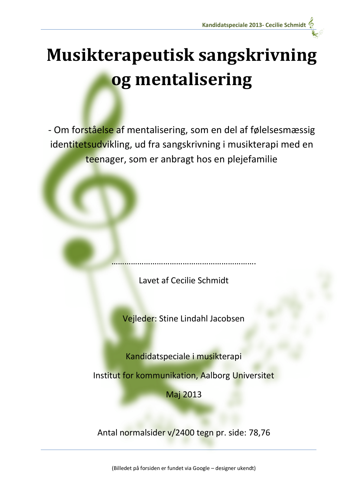

- Om forståelse af mentalisering, som en del af følelsesmæssig identitetsudvikling, ud fra sangskrivning i musikterapi med en teenager, som er anbragt hos en plejefamilie

Lavet af Cecilie Schmidt

………………………………………………………….

Vejleder: Stine Lindahl Jacobsen

Kandidatspeciale i musikterapi

Institut for kommunikation, Aalborg Universitet

Maj 2013

Antal normalsider v/2400 tegn pr. side: 78,76